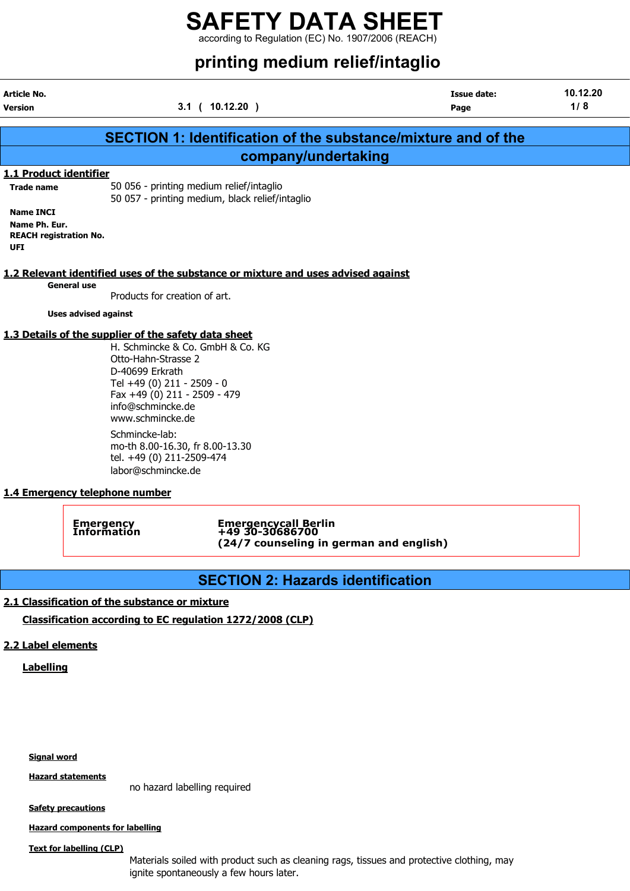# printing modium relief/intaglio

|                                                                                  |                                                                                                                                                                                                                                           | printing medium renemintagno |                 |
|----------------------------------------------------------------------------------|-------------------------------------------------------------------------------------------------------------------------------------------------------------------------------------------------------------------------------------------|------------------------------|-----------------|
| Article No.<br>Version                                                           | 3.1 ( 10.12.20 )                                                                                                                                                                                                                          | <b>Issue date:</b><br>Page   | 10.12.20<br>1/8 |
|                                                                                  | <b>SECTION 1: Identification of the substance/mixture and of the</b>                                                                                                                                                                      |                              |                 |
|                                                                                  | company/undertaking                                                                                                                                                                                                                       |                              |                 |
| 1.1 Product identifier                                                           |                                                                                                                                                                                                                                           |                              |                 |
| <b>Trade name</b>                                                                | 50 056 - printing medium relief/intaglio<br>50 057 - printing medium, black relief/intaglio                                                                                                                                               |                              |                 |
| <b>Name INCI</b><br>Name Ph. Eur.<br><b>REACH registration No.</b><br><b>UFI</b> |                                                                                                                                                                                                                                           |                              |                 |
|                                                                                  | 1.2 Relevant identified uses of the substance or mixture and uses advised against                                                                                                                                                         |                              |                 |
| <b>General use</b>                                                               | Products for creation of art.                                                                                                                                                                                                             |                              |                 |
| <b>Uses advised against</b>                                                      |                                                                                                                                                                                                                                           |                              |                 |
|                                                                                  | 1.3 Details of the supplier of the safety data sheet<br>H. Schmincke & Co. GmbH & Co. KG<br>Otto-Hahn-Strasse 2<br>D-40699 Erkrath<br>Tel +49 (0) 211 - 2509 - 0<br>Fax +49 (0) 211 - 2509 - 479<br>info@schmincke.de<br>www.schmincke.de |                              |                 |
|                                                                                  | Schmincke-lab:<br>mo-th 8.00-16.30, fr 8.00-13.30<br>tel. +49 (0) 211-2509-474                                                                                                                                                            |                              |                 |

Emergency Emergencycall Berlin Information +49 30-30686700 (24/7 counseling in german and english)

# SECTION 2: Hazards identification

### 2.1 Classification of the substance or mixture

Classification according to EC regulation 1272/2008 (CLP)

## 2.2 Label elements

**Labelling** 

Signal word

Hazard statements

no hazard labelling required

**Safety precautions** 

Hazard components for labelling

Text for labelling (CLP)

Materials soiled with product such as cleaning rags, tissues and protective clothing, may ignite spontaneously a few hours later.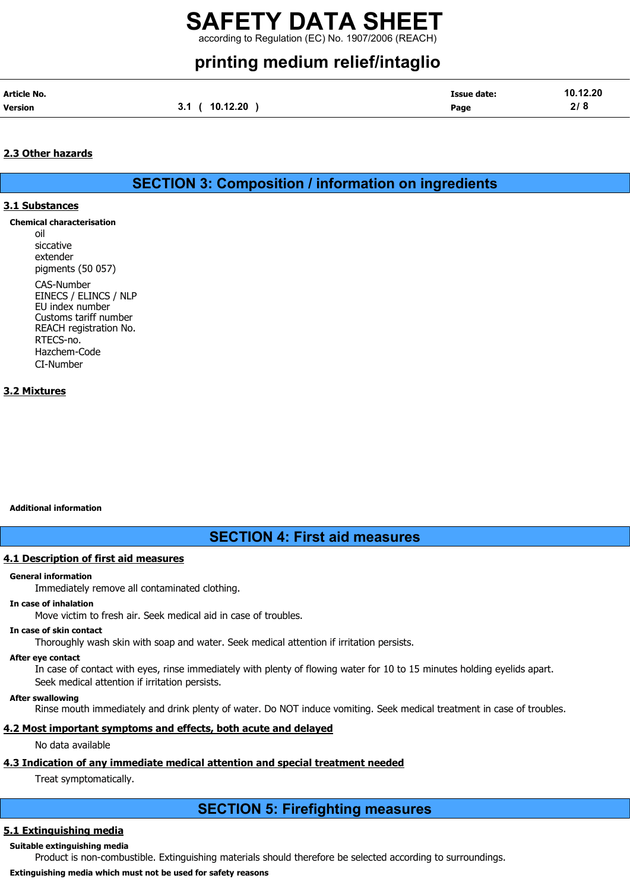# printing medium relief/intaglio

| Article No.    |                 | Issue date: | 10.12.20 |
|----------------|-----------------|-------------|----------|
| <b>Version</b> | 10.12.20<br>3.1 | Page        | 2/8      |

#### 2.3 Other hazards

SECTION 3: Composition / information on ingredients

#### 3.1 Substances

- Chemical characterisation
	- oil siccative extender pigments (50 057)

CAS-Number EINECS / ELINCS / NLP EU index number Customs tariff number REACH registration No. RTECS-no. Hazchem-Code CI-Number

#### 3.2 Mixtures

#### Additional information

SECTION 4: First aid measures

#### 4.1 Description of first aid measures

#### General information

Immediately remove all contaminated clothing.

#### In case of inhalation

Move victim to fresh air. Seek medical aid in case of troubles.

#### In case of skin contact

Thoroughly wash skin with soap and water. Seek medical attention if irritation persists.

#### After eye contact

In case of contact with eyes, rinse immediately with plenty of flowing water for 10 to 15 minutes holding eyelids apart. Seek medical attention if irritation persists.

#### After swallowing

Rinse mouth immediately and drink plenty of water. Do NOT induce vomiting. Seek medical treatment in case of troubles.

#### 4.2 Most important symptoms and effects, both acute and delayed

No data available

## 4.3 Indication of any immediate medical attention and special treatment needed

Treat symptomatically.

# SECTION 5: Firefighting measures

## 5.1 Extinguishing media

#### Suitable extinguishing media

Product is non-combustible. Extinguishing materials should therefore be selected according to surroundings.

#### Extinguishing media which must not be used for safety reasons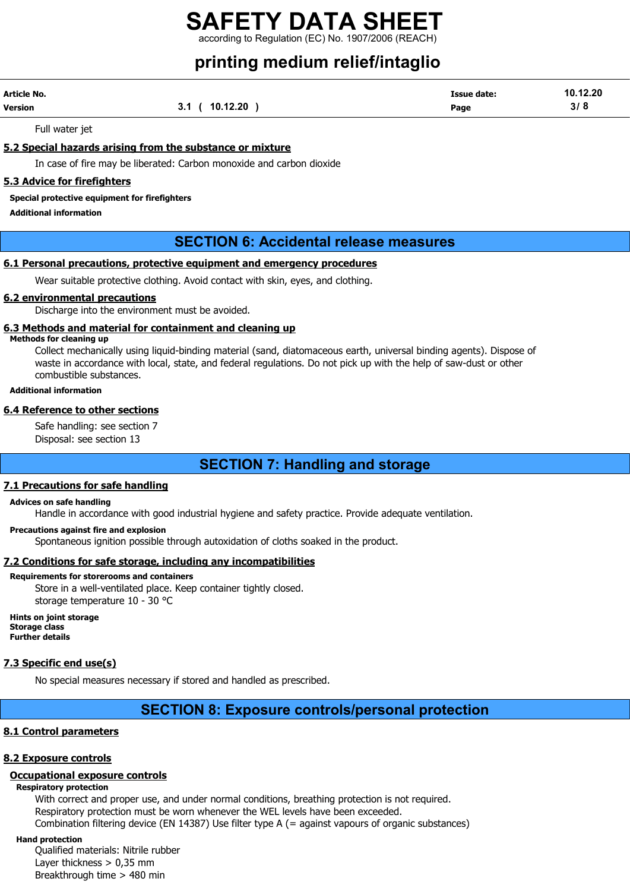# printing medium relief/intaglio

| Article No. |                 | <b>Issue date:</b> | 10.12.20 |
|-------------|-----------------|--------------------|----------|
| Version     | 10.12.20<br>v., | Page               | 3/       |

Full water jet

#### 5.2 Special hazards arising from the substance or mixture

In case of fire may be liberated: Carbon monoxide and carbon dioxide

#### 5.3 Advice for firefighters

#### Special protective equipment for firefighters

Additional information

## SECTION 6: Accidental release measures

#### 6.1 Personal precautions, protective equipment and emergency procedures

Wear suitable protective clothing. Avoid contact with skin, eyes, and clothing.

#### 6.2 environmental precautions

Discharge into the environment must be avoided.

#### 6.3 Methods and material for containment and cleaning up

#### Methods for cleaning up

Collect mechanically using liquid-binding material (sand, diatomaceous earth, universal binding agents). Dispose of waste in accordance with local, state, and federal regulations. Do not pick up with the help of saw-dust or other combustible substances.

#### Additional information

#### 6.4 Reference to other sections

Safe handling: see section 7 Disposal: see section 13

## SECTION 7: Handling and storage

#### 7.1 Precautions for safe handling

#### Advices on safe handling

Handle in accordance with good industrial hygiene and safety practice. Provide adequate ventilation.

#### Precautions against fire and explosion

Spontaneous ignition possible through autoxidation of cloths soaked in the product.

#### 7.2 Conditions for safe storage, including any incompatibilities

#### Requirements for storerooms and containers

Store in a well-ventilated place. Keep container tightly closed. storage temperature 10 - 30 °C

Hints on joint storage Storage class Further details

#### 7.3 Specific end use(s)

No special measures necessary if stored and handled as prescribed.

# SECTION 8: Exposure controls/personal protection

#### 8.1 Control parameters

#### 8.2 Exposure controls

## Occupational exposure controls

#### Respiratory protection

With correct and proper use, and under normal conditions, breathing protection is not required. Respiratory protection must be worn whenever the WEL levels have been exceeded. Combination filtering device (EN 14387) Use filter type A (= against vapours of organic substances)

#### Hand protection

Qualified materials: Nitrile rubber Layer thickness  $> 0.35$  mm Breakthrough time > 480 min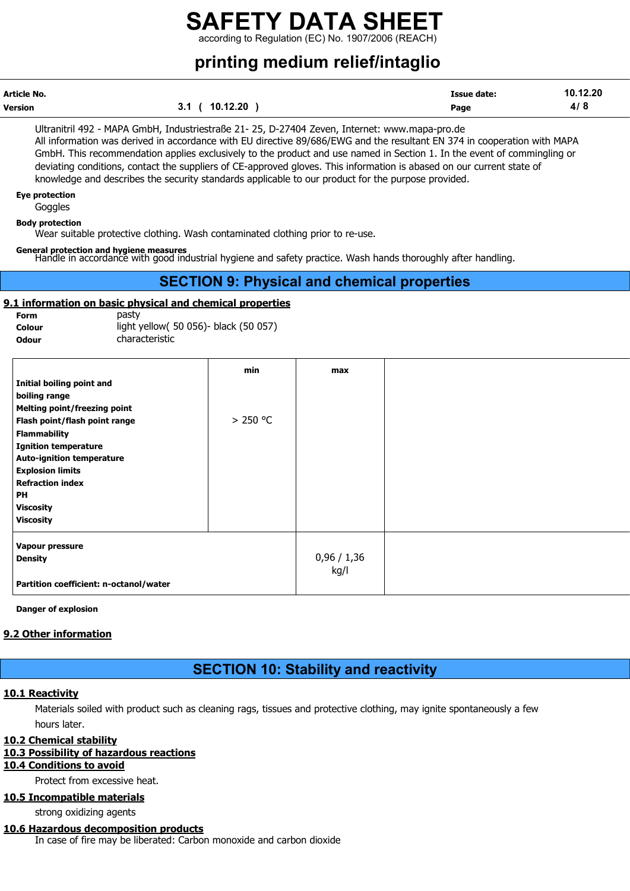# SAFETY DATA SHEET

according to Regulation (EC) No. 1907/2006 (REACH)

# printing medium relief/intaglio

| Article No. |                        | <b>Issue date:</b> | 10.12.20 |
|-------------|------------------------|--------------------|----------|
| Version     | 10.12.20<br>21<br>v. I | Page               | 4/       |

Ultranitril 492 - MAPA GmbH, Industriestraße 21- 25, D-27404 Zeven, Internet: www.mapa-pro.de All information was derived in accordance with EU directive 89/686/EWG and the resultant EN 374 in cooperation with MAPA GmbH. This recommendation applies exclusively to the product and use named in Section 1. In the event of commingling or deviating conditions, contact the suppliers of CE-approved gloves. This information is abased on our current state of knowledge and describes the security standards applicable to our product for the purpose provided.

#### Eye protection

**Goggles** 

#### Body protection

Wear suitable protective clothing. Wash contaminated clothing prior to re-use.

#### General protection and hygiene measures

Handle in accordance with good industrial hygiene and safety practice. Wash hands thoroughly after handling.

### SECTION 9: Physical and chemical properties

#### 9.1 information on basic physical and chemical properties

| Form   | pasty                                  |
|--------|----------------------------------------|
| Colour | light yellow( 50 056) - black (50 057) |
| Odour  | characteristic                         |

|                                        | min       | max       |
|----------------------------------------|-----------|-----------|
| Initial boiling point and              |           |           |
| boiling range                          |           |           |
| <b>Melting point/freezing point</b>    |           |           |
| Flash point/flash point range          | $>250$ °C |           |
| <b>Flammability</b>                    |           |           |
| <b>Ignition temperature</b>            |           |           |
| <b>Auto-ignition temperature</b>       |           |           |
| <b>Explosion limits</b>                |           |           |
| <b>Refraction index</b>                |           |           |
| PH                                     |           |           |
| <b>Viscosity</b>                       |           |           |
| <b>Viscosity</b>                       |           |           |
| Vapour pressure                        |           |           |
| <b>Density</b>                         |           | 0,96/1,36 |
|                                        |           | kg/l      |
| Partition coefficient: n-octanol/water |           |           |

Danger of explosion

#### 9.2 Other information

## SECTION 10: Stability and reactivity

#### 10.1 Reactivity

Materials soiled with product such as cleaning rags, tissues and protective clothing, may ignite spontaneously a few hours later.

#### 10.2 Chemical stability

#### 10.3 Possibility of hazardous reactions

#### 10.4 Conditions to avoid

Protect from excessive heat.

#### 10.5 Incompatible materials

strong oxidizing agents

#### 10.6 Hazardous decomposition products

In case of fire may be liberated: Carbon monoxide and carbon dioxide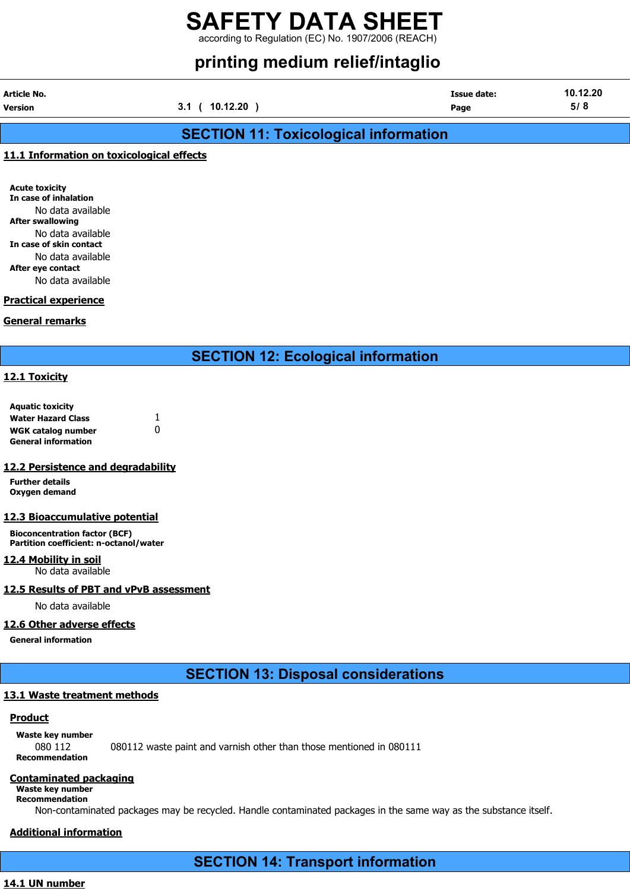# printing medium relief/intaglio

| Article No. |                              | <b>Issue date:</b> | 10.12.20 |
|-------------|------------------------------|--------------------|----------|
| Version     | 10.12.20<br>3.1 <sub>0</sub> | Page               | 5/8      |

# SECTION 11: Toxicological information

#### 11.1 Information on toxicological effects

Acute toxicity In case of inhalation No data available After swallowing No data available In case of skin contact No data available After eye contact No data available

#### Practical experience

#### General remarks

SECTION 12: Ecological information

#### 12.1 Toxicity

| <b>Aquatic toxicity</b>    |   |
|----------------------------|---|
| <b>Water Hazard Class</b>  |   |
| <b>WGK catalog number</b>  | n |
| <b>General information</b> |   |

#### 12.2 Persistence and degradability

Further details Oxygen demand

#### 12.3 Bioaccumulative potential

Bioconcentration factor (BCF) Partition coefficient: n-octanol/water

#### 12.4 Mobility in soil No data available

#### 12.5 Results of PBT and vPvB assessment

No data available

#### 12.6 Other adverse effects

General information

# SECTION 13: Disposal considerations

## 13.1 Waste treatment methods

#### **Product**

Waste key number

080 112 080112 waste paint and varnish other than those mentioned in 080111 Recommendation

#### Contaminated packaging

Waste key number Recommendation

Non-contaminated packages may be recycled. Handle contaminated packages in the same way as the substance itself.

## Additional information

SECTION 14: Transport information

#### 14.1 UN number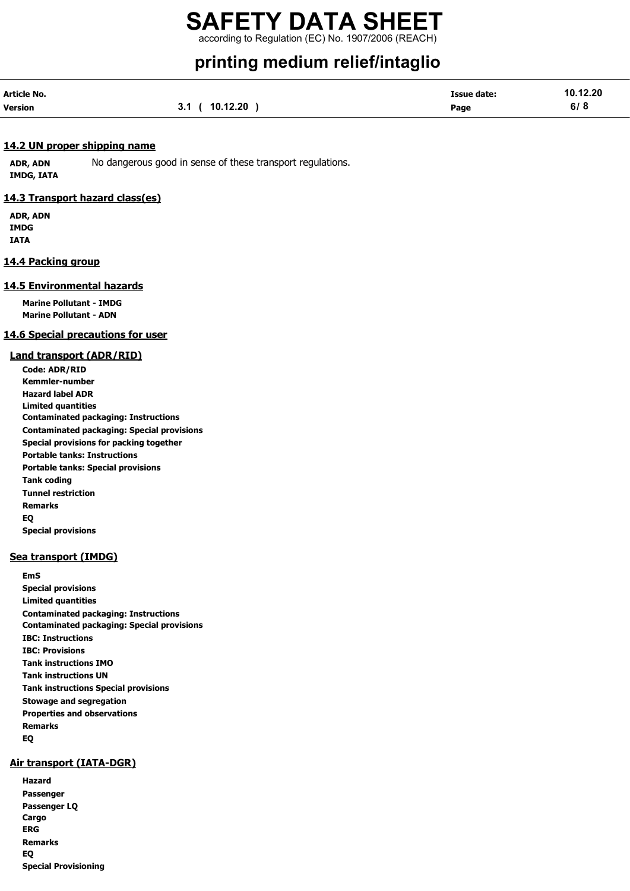# SAFETY DATA SHEET

according to Regulation (EC) No. 1907/2006 (REACH)

# printing medium relief/intaglio

| Article No.    |               | <b>Issue date:</b> | 10.12.20 |
|----------------|---------------|--------------------|----------|
| <b>Version</b> | 3.1(10.12.20) | Page               | 6/8      |

#### 14.2 UN proper shipping name

ADR, ADN No dangerous good in sense of these transport regulations. IMDG, IATA

#### 14.3 Transport hazard class(es)

ADR, ADN IMDG IATA

#### 14.4 Packing group

#### 14.5 Environmental hazards

Marine Pollutant - IMDG Marine Pollutant - ADN

#### 14.6 Special precautions for user

#### Land transport (ADR/RID)

Code: ADR/RID Kemmler-number Hazard label ADR Limited quantities Contaminated packaging: Instructions Contaminated packaging: Special provisions Special provisions for packing together Portable tanks: Instructions Portable tanks: Special provisions Tank coding Tunnel restriction Remarks EQ Special provisions

#### Sea transport (IMDG)

EmS Special provisions Limited quantities Contaminated packaging: Instructions Contaminated packaging: Special provisions IBC: Instructions IBC: Provisions Tank instructions IMO Tank instructions UN Tank instructions Special provisions Stowage and segregation Properties and observations Remarks EQ

#### Air transport (IATA-DGR)

Hazard Passenger Passenger LQ Cargo ERG Remarks EQ Special Provisioning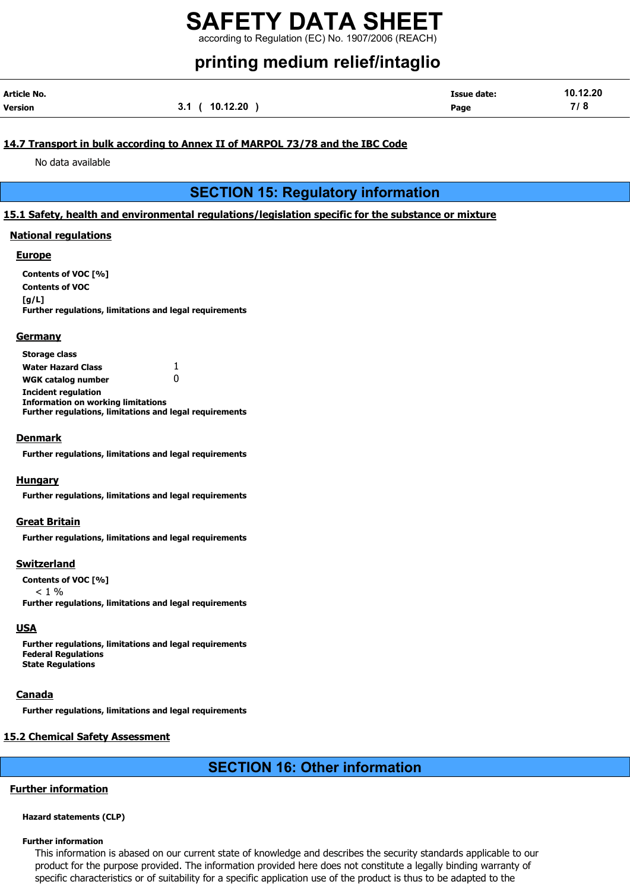# printing medium relief/intaglio

| Article No. |                | <b>Issue date:</b> | 10.12.20 |
|-------------|----------------|--------------------|----------|
| Version     | 3.1 ( 10.12.20 | Page               | 7/8      |

#### 14.7 Transport in bulk according to Annex II of MARPOL 73/78 and the IBC Code

No data available

# SECTION 15: Regulatory information

#### 15.1 Safety, health and environmental regulations/legislation specific for the substance or mixture

#### National regulations

#### Europe

Contents of VOC [%] Contents of VOC  $[a/L]$ Further regulations, limitations and legal requirements

#### **Germany**

| <b>Storage class</b>                                           |              |
|----------------------------------------------------------------|--------------|
| <b>Water Hazard Class</b>                                      | 1.           |
| <b>WGK catalog number</b>                                      | $\mathbf{I}$ |
| <b>Incident regulation</b>                                     |              |
| <b>Information on working limitations</b>                      |              |
| <b>Further regulations, limitations and legal requirements</b> |              |

#### Denmark

Further regulations, limitations and legal requirements

#### **Hungary**

Further regulations, limitations and legal requirements

#### Great Britain

Further regulations, limitations and legal requirements

#### Switzerland

Contents of VOC [%]  $< 1 %$ Further regulations, limitations and legal requirements

#### **USA**

Further regulations, limitations and legal requirements Federal Regulations State Regulations

#### Canada

Further regulations, limitations and legal requirements

#### 15.2 Chemical Safety Assessment

# SECTION 16: Other information

#### Further information

#### Hazard statements (CLP)

#### Further information

This information is abased on our current state of knowledge and describes the security standards applicable to our product for the purpose provided. The information provided here does not constitute a legally binding warranty of specific characteristics or of suitability for a specific application use of the product is thus to be adapted to the